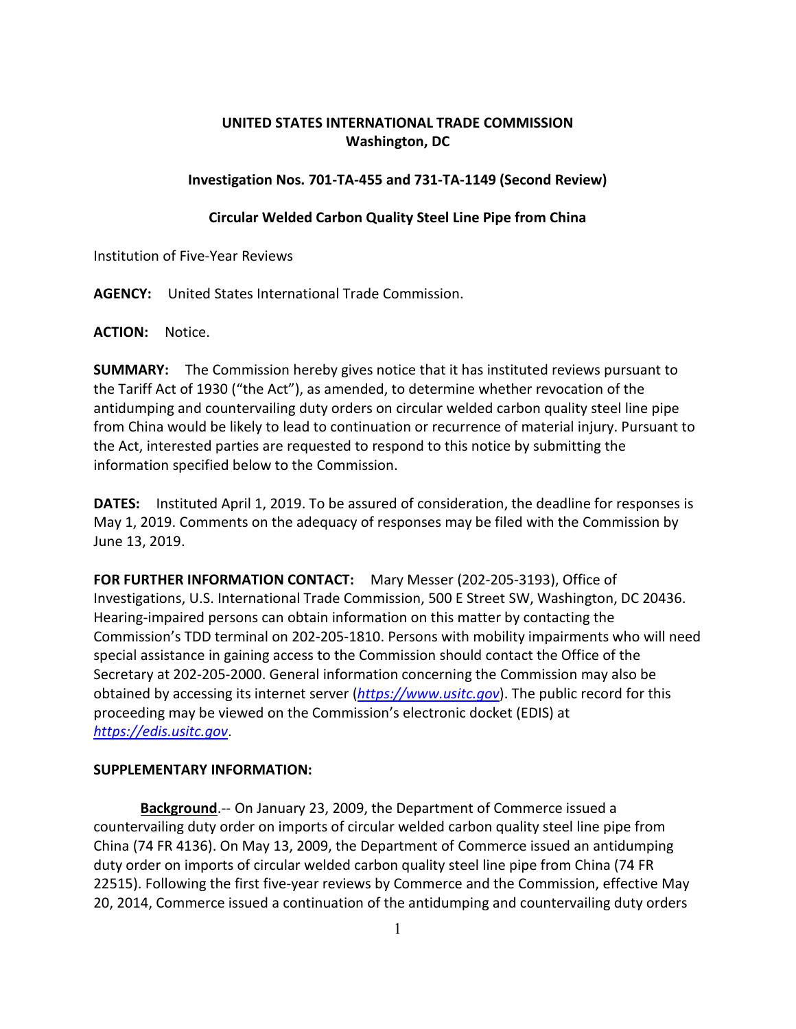## **UNITED STATES INTERNATIONAL TRADE COMMISSION Washington, DC**

## **Investigation Nos. 701-TA-455 and 731-TA-1149 (Second Review)**

## **Circular Welded Carbon Quality Steel Line Pipe from China**

Institution of Five-Year Reviews

**AGENCY:** United States International Trade Commission.

**ACTION:** Notice.

**SUMMARY:** The Commission hereby gives notice that it has instituted reviews pursuant to the Tariff Act of 1930 ("the Act"), as amended, to determine whether revocation of the antidumping and countervailing duty orders on circular welded carbon quality steel line pipe from China would be likely to lead to continuation or recurrence of material injury. Pursuant to the Act, interested parties are requested to respond to this notice by submitting the information specified below to the Commission.

**DATES:** Instituted April 1, 2019. To be assured of consideration, the deadline for responses is May 1, 2019. Comments on the adequacy of responses may be filed with the Commission by June 13, 2019.

**FOR FURTHER INFORMATION CONTACT:** Mary Messer (202-205-3193), Office of Investigations, U.S. International Trade Commission, 500 E Street SW, Washington, DC 20436. Hearing-impaired persons can obtain information on this matter by contacting the Commission's TDD terminal on 202-205-1810. Persons with mobility impairments who will need special assistance in gaining access to the Commission should contact the Office of the Secretary at 202-205-2000. General information concerning the Commission may also be obtained by accessing its internet server (*[https://www.usitc.gov](https://www.usitc.gov/)*). The public record for this proceeding may be viewed on the Commission's electronic docket (EDIS) at *[https://edis.usitc.gov](https://edis.usitc.gov/)*.

## **SUPPLEMENTARY INFORMATION:**

**Background**.-- On January 23, 2009, the Department of Commerce issued a countervailing duty order on imports of circular welded carbon quality steel line pipe from China (74 FR 4136). On May 13, 2009, the Department of Commerce issued an antidumping duty order on imports of circular welded carbon quality steel line pipe from China (74 FR 22515). Following the first five-year reviews by Commerce and the Commission, effective May 20, 2014, Commerce issued a continuation of the antidumping and countervailing duty orders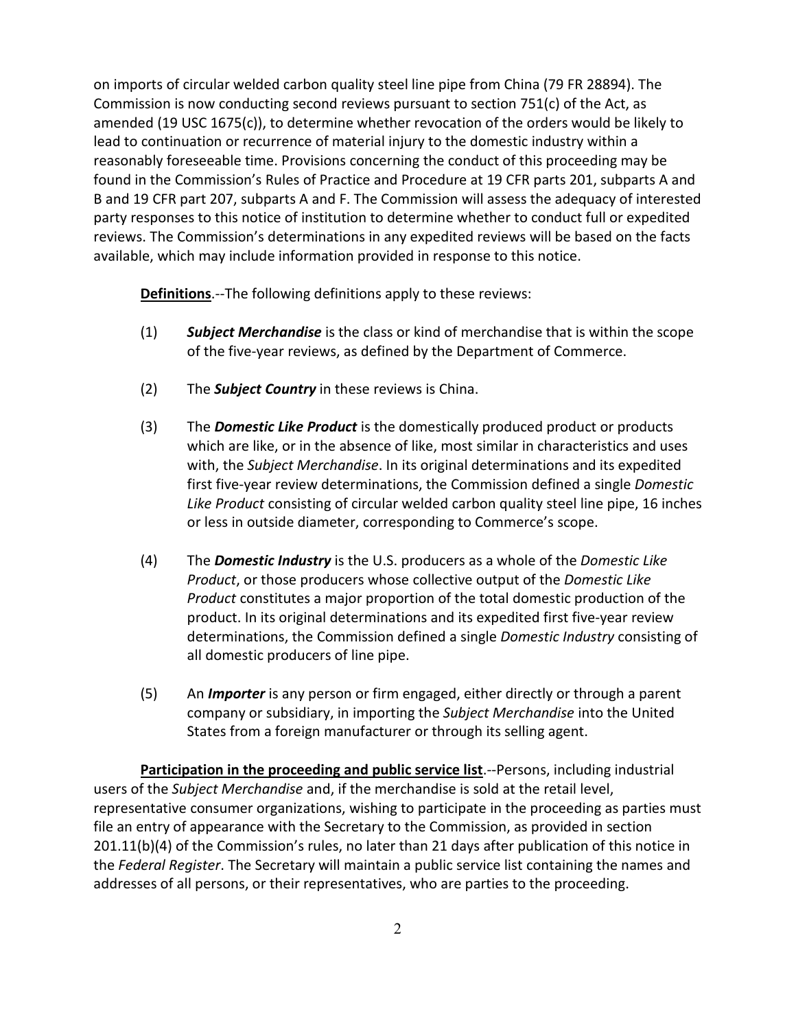on imports of circular welded carbon quality steel line pipe from China (79 FR 28894). The Commission is now conducting second reviews pursuant to section  $751(c)$  of the Act, as amended (19 USC 1675(c)), to determine whether revocation of the orders would be likely to lead to continuation or recurrence of material injury to the domestic industry within a reasonably foreseeable time. Provisions concerning the conduct of this proceeding may be found in the Commission's Rules of Practice and Procedure at 19 CFR parts 201, subparts A and B and 19 CFR part 207, subparts A and F. The Commission will assess the adequacy of interested party responses to this notice of institution to determine whether to conduct full or expedited reviews. The Commission's determinations in any expedited reviews will be based on the facts available, which may include information provided in response to this notice.

**Definitions**.--The following definitions apply to these reviews:

- (1) *Subject Merchandise* is the class or kind of merchandise that is within the scope of the five-year reviews, as defined by the Department of Commerce.
- (2) The *Subject Country* in these reviews is China.
- (3) The *Domestic Like Product* is the domestically produced product or products which are like, or in the absence of like, most similar in characteristics and uses with, the *Subject Merchandise*. In its original determinations and its expedited first five-year review determinations, the Commission defined a single *Domestic Like Product* consisting of circular welded carbon quality steel line pipe, 16 inches or less in outside diameter, corresponding to Commerce's scope.
- (4) The *Domestic Industry* is the U.S. producers as a whole of the *Domestic Like Product*, or those producers whose collective output of the *Domestic Like Product* constitutes a major proportion of the total domestic production of the product. In its original determinations and its expedited first five-year review determinations, the Commission defined a single *Domestic Industry* consisting of all domestic producers of line pipe.
- (5) An *Importer* is any person or firm engaged, either directly or through a parent company or subsidiary, in importing the *Subject Merchandise* into the United States from a foreign manufacturer or through its selling agent.

**Participation in the proceeding and public service list**.--Persons, including industrial users of the *Subject Merchandise* and, if the merchandise is sold at the retail level, representative consumer organizations, wishing to participate in the proceeding as parties must file an entry of appearance with the Secretary to the Commission, as provided in section 201.11(b)(4) of the Commission's rules, no later than 21 days after publication of this notice in the *Federal Register*. The Secretary will maintain a public service list containing the names and addresses of all persons, or their representatives, who are parties to the proceeding.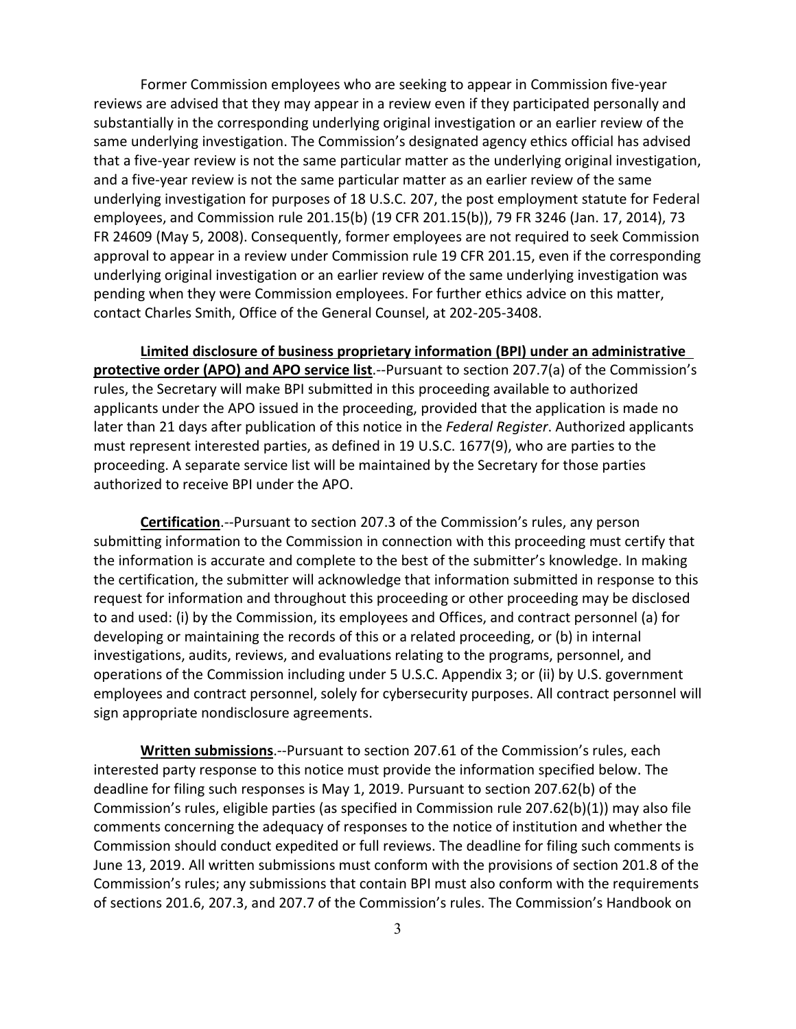Former Commission employees who are seeking to appear in Commission five-year reviews are advised that they may appear in a review even if they participated personally and substantially in the corresponding underlying original investigation or an earlier review of the same underlying investigation. The Commission's designated agency ethics official has advised that a five-year review is not the same particular matter as the underlying original investigation, and a five-year review is not the same particular matter as an earlier review of the same underlying investigation for purposes of 18 U.S.C. 207, the post employment statute for Federal employees, and Commission rule 201.15(b) (19 CFR 201.15(b)), 79 FR 3246 (Jan. 17, 2014), 73 FR 24609 (May 5, 2008). Consequently, former employees are not required to seek Commission approval to appear in a review under Commission rule 19 CFR 201.15, even if the corresponding underlying original investigation or an earlier review of the same underlying investigation was pending when they were Commission employees. For further ethics advice on this matter, contact Charles Smith, Office of the General Counsel, at 202-205-3408.

**Limited disclosure of business proprietary information (BPI) under an administrative protective order (APO) and APO service list**.--Pursuant to section 207.7(a) of the Commission's rules, the Secretary will make BPI submitted in this proceeding available to authorized applicants under the APO issued in the proceeding, provided that the application is made no later than 21 days after publication of this notice in the *Federal Register*. Authorized applicants must represent interested parties, as defined in 19 U.S.C. 1677(9), who are parties to the proceeding. A separate service list will be maintained by the Secretary for those parties authorized to receive BPI under the APO.

**Certification**.--Pursuant to section 207.3 of the Commission's rules, any person submitting information to the Commission in connection with this proceeding must certify that the information is accurate and complete to the best of the submitter's knowledge. In making the certification, the submitter will acknowledge that information submitted in response to this request for information and throughout this proceeding or other proceeding may be disclosed to and used: (i) by the Commission, its employees and Offices, and contract personnel (a) for developing or maintaining the records of this or a related proceeding, or (b) in internal investigations, audits, reviews, and evaluations relating to the programs, personnel, and operations of the Commission including under 5 U.S.C. Appendix 3; or (ii) by U.S. government employees and contract personnel, solely for cybersecurity purposes. All contract personnel will sign appropriate nondisclosure agreements.

**Written submissions**.--Pursuant to section 207.61 of the Commission's rules, each interested party response to this notice must provide the information specified below. The deadline for filing such responses is May 1, 2019. Pursuant to section 207.62(b) of the Commission's rules, eligible parties (as specified in Commission rule 207.62(b)(1)) may also file comments concerning the adequacy of responses to the notice of institution and whether the Commission should conduct expedited or full reviews. The deadline for filing such comments is June 13, 2019. All written submissions must conform with the provisions of section 201.8 of the Commission's rules; any submissions that contain BPI must also conform with the requirements of sections 201.6, 207.3, and 207.7 of the Commission's rules. The Commission's Handbook on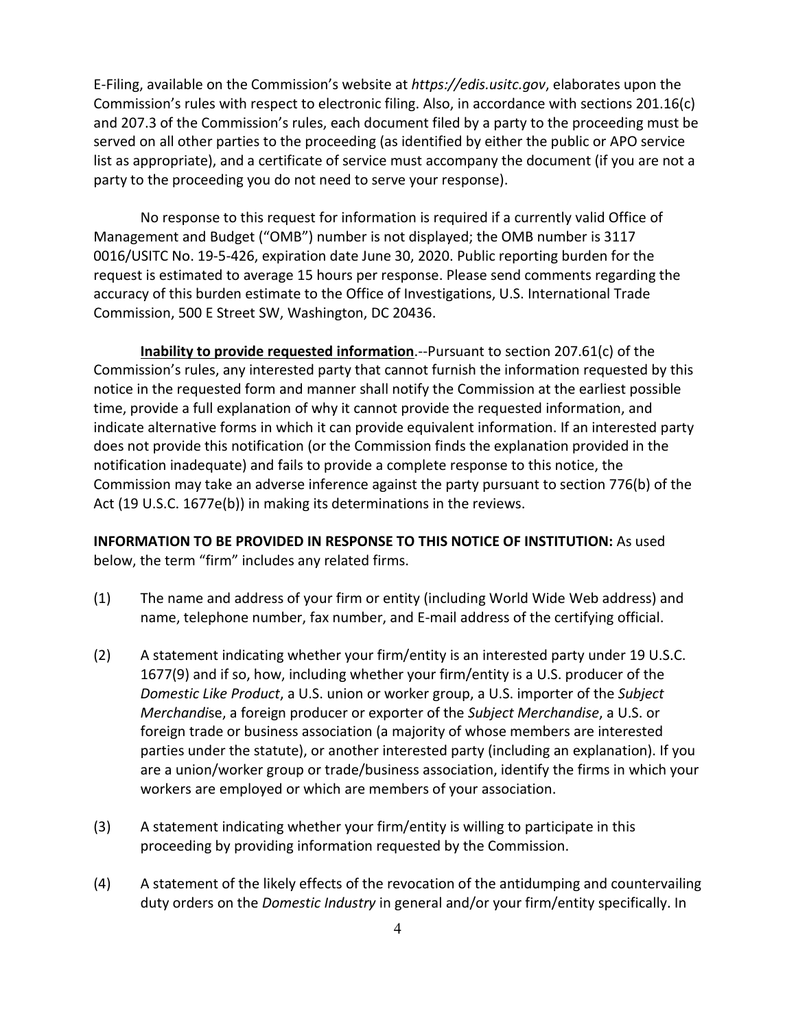E-Filing, available on the Commission's website at *https://edis.usitc.gov*, elaborates upon the Commission's rules with respect to electronic filing. Also, in accordance with sections 201.16(c) and 207.3 of the Commission's rules, each document filed by a party to the proceeding must be served on all other parties to the proceeding (as identified by either the public or APO service list as appropriate), and a certificate of service must accompany the document (if you are not a party to the proceeding you do not need to serve your response).

No response to this request for information is required if a currently valid Office of Management and Budget ("OMB") number is not displayed; the OMB number is 3117 0016/USITC No. 19-5-426, expiration date June 30, 2020. Public reporting burden for the request is estimated to average 15 hours per response. Please send comments regarding the accuracy of this burden estimate to the Office of Investigations, U.S. International Trade Commission, 500 E Street SW, Washington, DC 20436.

**Inability to provide requested information**.--Pursuant to section 207.61(c) of the Commission's rules, any interested party that cannot furnish the information requested by this notice in the requested form and manner shall notify the Commission at the earliest possible time, provide a full explanation of why it cannot provide the requested information, and indicate alternative forms in which it can provide equivalent information. If an interested party does not provide this notification (or the Commission finds the explanation provided in the notification inadequate) and fails to provide a complete response to this notice, the Commission may take an adverse inference against the party pursuant to section 776(b) of the Act (19 U.S.C. 1677e(b)) in making its determinations in the reviews.

**INFORMATION TO BE PROVIDED IN RESPONSE TO THIS NOTICE OF INSTITUTION:** As used below, the term "firm" includes any related firms.

- (1) The name and address of your firm or entity (including World Wide Web address) and name, telephone number, fax number, and E-mail address of the certifying official.
- (2) A statement indicating whether your firm/entity is an interested party under 19 U.S.C. 1677(9) and if so, how, including whether your firm/entity is a U.S. producer of the *Domestic Like Product*, a U.S. union or worker group, a U.S. importer of the *Subject Merchandi*se, a foreign producer or exporter of the *Subject Merchandise*, a U.S. or foreign trade or business association (a majority of whose members are interested parties under the statute), or another interested party (including an explanation). If you are a union/worker group or trade/business association, identify the firms in which your workers are employed or which are members of your association.
- (3) A statement indicating whether your firm/entity is willing to participate in this proceeding by providing information requested by the Commission.
- (4) A statement of the likely effects of the revocation of the antidumping and countervailing duty orders on the *Domestic Industry* in general and/or your firm/entity specifically. In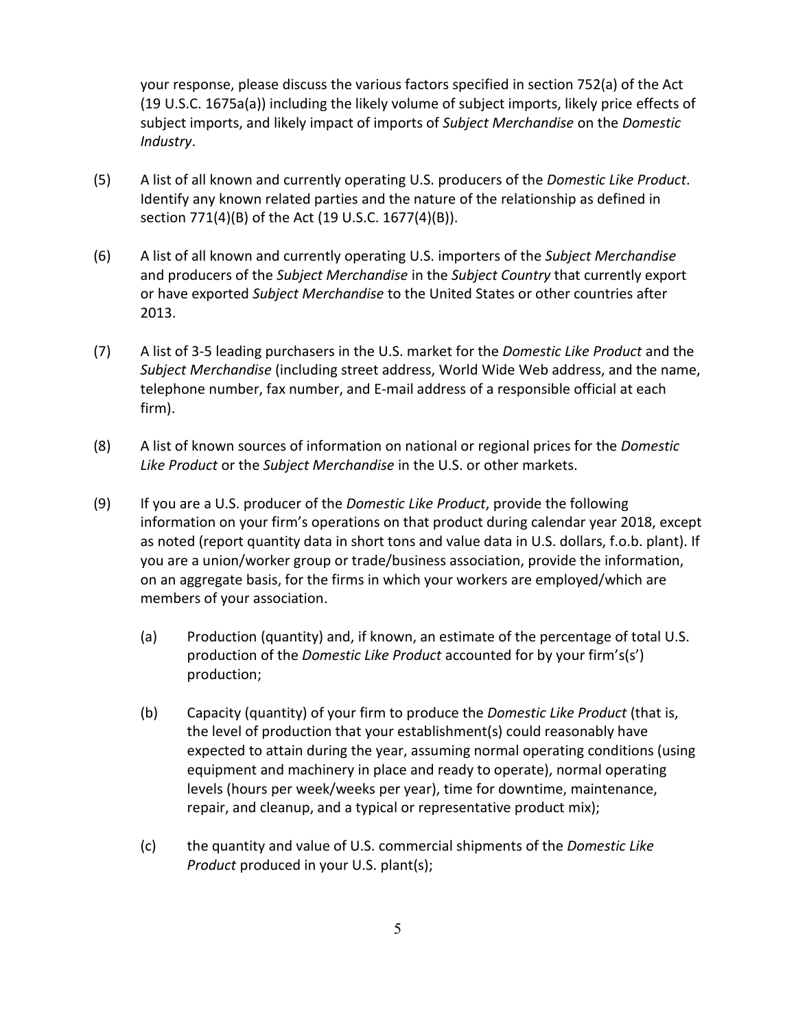your response, please discuss the various factors specified in section 752(a) of the Act (19 U.S.C. 1675a(a)) including the likely volume of subject imports, likely price effects of subject imports, and likely impact of imports of *Subject Merchandise* on the *Domestic Industry*.

- (5) A list of all known and currently operating U.S. producers of the *Domestic Like Product*. Identify any known related parties and the nature of the relationship as defined in section 771(4)(B) of the Act (19 U.S.C. 1677(4)(B)).
- (6) A list of all known and currently operating U.S. importers of the *Subject Merchandise* and producers of the *Subject Merchandise* in the *Subject Country* that currently export or have exported *Subject Merchandise* to the United States or other countries after 2013.
- (7) A list of 3-5 leading purchasers in the U.S. market for the *Domestic Like Product* and the *Subject Merchandise* (including street address, World Wide Web address, and the name, telephone number, fax number, and E-mail address of a responsible official at each firm).
- (8) A list of known sources of information on national or regional prices for the *Domestic Like Product* or the *Subject Merchandise* in the U.S. or other markets.
- (9) If you are a U.S. producer of the *Domestic Like Product*, provide the following information on your firm's operations on that product during calendar year 2018, except as noted (report quantity data in short tons and value data in U.S. dollars, f.o.b. plant). If you are a union/worker group or trade/business association, provide the information, on an aggregate basis, for the firms in which your workers are employed/which are members of your association.
	- (a) Production (quantity) and, if known, an estimate of the percentage of total U.S. production of the *Domestic Like Product* accounted for by your firm's(s') production;
	- (b) Capacity (quantity) of your firm to produce the *Domestic Like Product* (that is, the level of production that your establishment(s) could reasonably have expected to attain during the year, assuming normal operating conditions (using equipment and machinery in place and ready to operate), normal operating levels (hours per week/weeks per year), time for downtime, maintenance, repair, and cleanup, and a typical or representative product mix);
	- (c) the quantity and value of U.S. commercial shipments of the *Domestic Like Product* produced in your U.S. plant(s);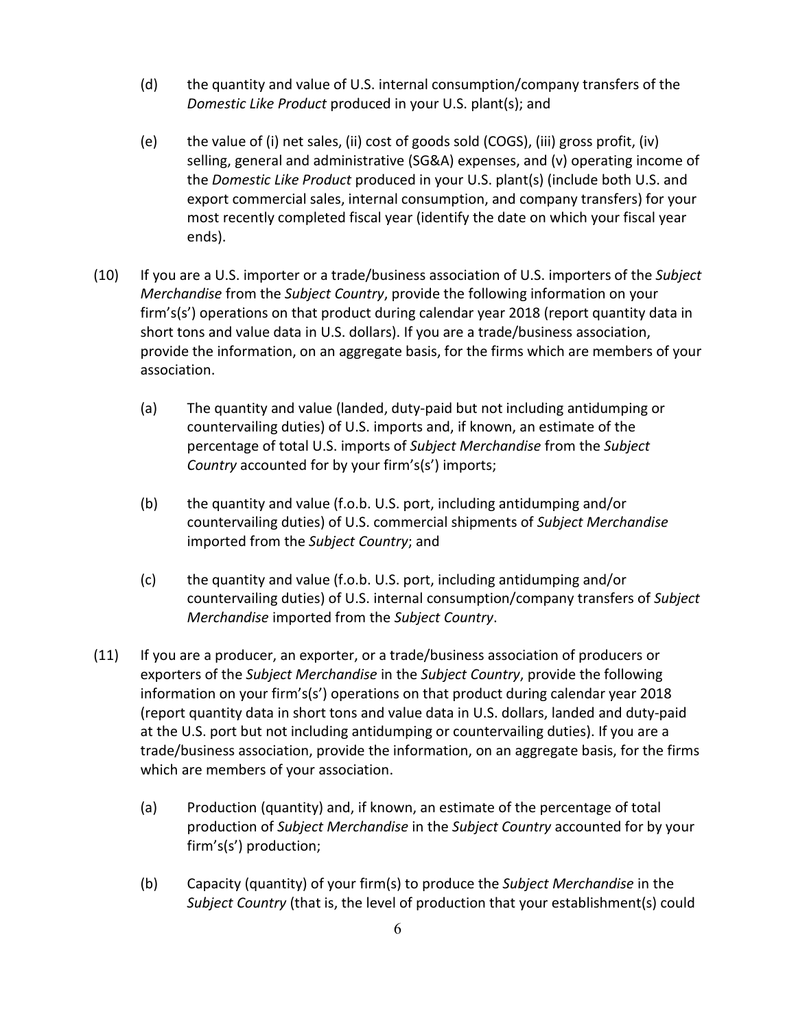- (d) the quantity and value of U.S. internal consumption/company transfers of the *Domestic Like Product* produced in your U.S. plant(s); and
- (e) the value of (i) net sales, (ii) cost of goods sold (COGS), (iii) gross profit, (iv) selling, general and administrative (SG&A) expenses, and (v) operating income of the *Domestic Like Product* produced in your U.S. plant(s) (include both U.S. and export commercial sales, internal consumption, and company transfers) for your most recently completed fiscal year (identify the date on which your fiscal year ends).
- (10) If you are a U.S. importer or a trade/business association of U.S. importers of the *Subject Merchandise* from the *Subject Country*, provide the following information on your firm's(s') operations on that product during calendar year 2018 (report quantity data in short tons and value data in U.S. dollars). If you are a trade/business association, provide the information, on an aggregate basis, for the firms which are members of your association.
	- (a) The quantity and value (landed, duty-paid but not including antidumping or countervailing duties) of U.S. imports and, if known, an estimate of the percentage of total U.S. imports of *Subject Merchandise* from the *Subject Country* accounted for by your firm's(s') imports;
	- (b) the quantity and value (f.o.b. U.S. port, including antidumping and/or countervailing duties) of U.S. commercial shipments of *Subject Merchandise* imported from the *Subject Country*; and
	- (c) the quantity and value (f.o.b. U.S. port, including antidumping and/or countervailing duties) of U.S. internal consumption/company transfers of *Subject Merchandise* imported from the *Subject Country*.
- (11) If you are a producer, an exporter, or a trade/business association of producers or exporters of the *Subject Merchandise* in the *Subject Country*, provide the following information on your firm's(s') operations on that product during calendar year 2018 (report quantity data in short tons and value data in U.S. dollars, landed and duty-paid at the U.S. port but not including antidumping or countervailing duties). If you are a trade/business association, provide the information, on an aggregate basis, for the firms which are members of your association.
	- (a) Production (quantity) and, if known, an estimate of the percentage of total production of *Subject Merchandise* in the *Subject Country* accounted for by your firm's(s') production;
	- (b) Capacity (quantity) of your firm(s) to produce the *Subject Merchandise* in the *Subject Country* (that is, the level of production that your establishment(s) could